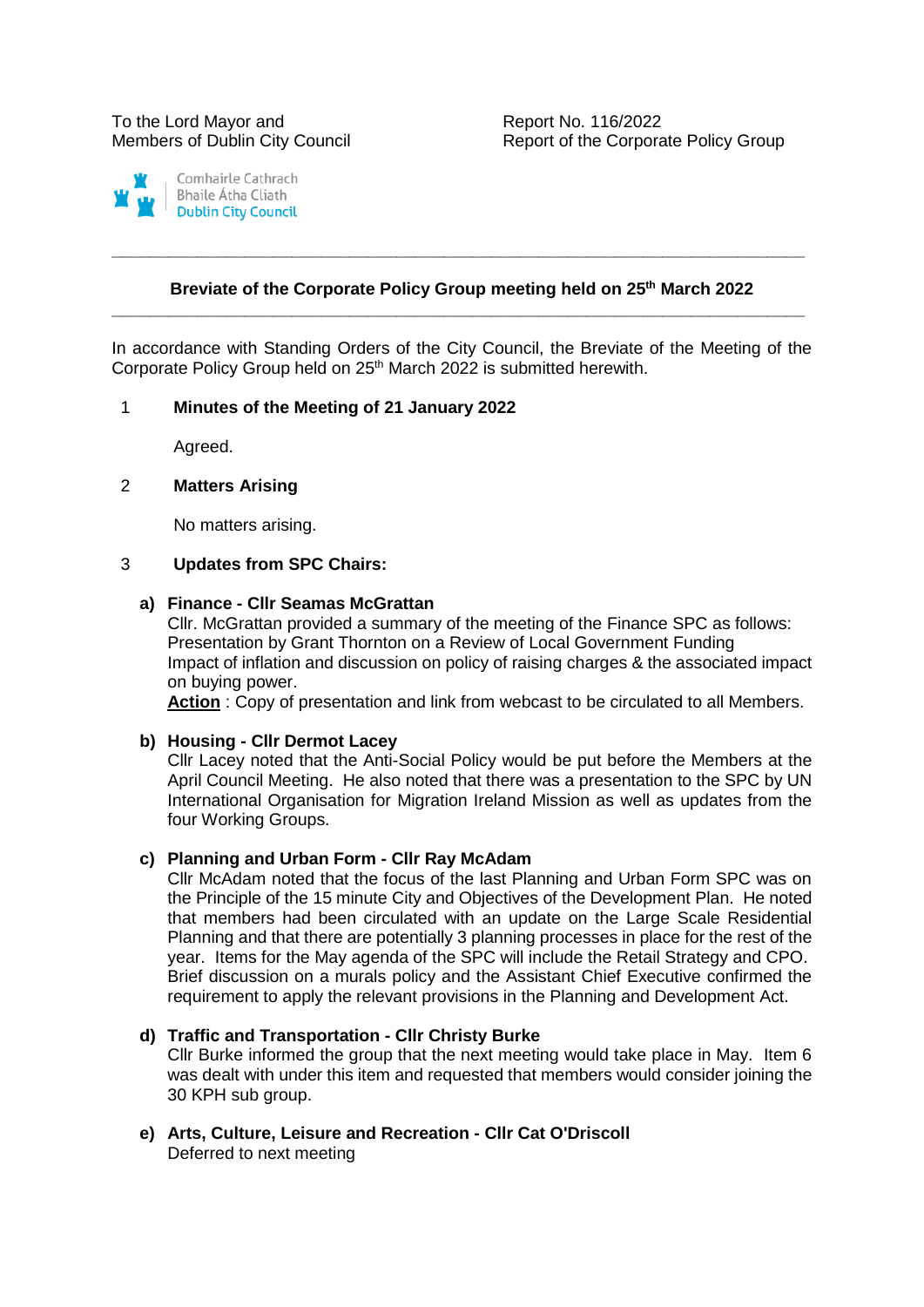

### **Breviate of the Corporate Policy Group meeting held on 25th March 2022 \_\_\_\_\_\_\_\_\_\_\_\_\_\_\_\_\_\_\_\_\_\_\_\_\_\_\_\_\_\_\_\_\_\_\_\_\_\_\_\_\_\_\_\_\_\_\_\_\_\_\_\_\_\_\_\_\_\_\_\_\_\_\_\_\_\_\_\_\_\_\_\_\_**

**\_\_\_\_\_\_\_\_\_\_\_\_\_\_\_\_\_\_\_\_\_\_\_\_\_\_\_\_\_\_\_\_\_\_\_\_\_\_\_\_\_\_\_\_\_\_\_\_\_\_\_\_\_\_\_\_\_\_\_\_\_\_\_\_\_\_\_\_\_\_\_\_\_**

In accordance with Standing Orders of the City Council, the Breviate of the Meeting of the Corporate Policy Group held on 25<sup>th</sup> March 2022 is submitted herewith.

#### 1 **Minutes of the Meeting of 21 January 2022**

Agreed.

#### 2 **Matters Arising**

No matters arising.

#### 3 **Updates from SPC Chairs:**

#### **a) Finance - Cllr Seamas McGrattan**

Cllr. McGrattan provided a summary of the meeting of the Finance SPC as follows: Presentation by Grant Thornton on a Review of Local Government Funding Impact of inflation and discussion on policy of raising charges & the associated impact on buying power.

**Action** : Copy of presentation and link from webcast to be circulated to all Members.

#### **b) Housing - Cllr Dermot Lacey**

Cllr Lacey noted that the Anti-Social Policy would be put before the Members at the April Council Meeting. He also noted that there was a presentation to the SPC by UN International Organisation for Migration Ireland Mission as well as updates from the four Working Groups.

### **c) Planning and Urban Form - Cllr Ray McAdam**

Cllr McAdam noted that the focus of the last Planning and Urban Form SPC was on the Principle of the 15 minute City and Objectives of the Development Plan. He noted that members had been circulated with an update on the Large Scale Residential Planning and that there are potentially 3 planning processes in place for the rest of the year. Items for the May agenda of the SPC will include the Retail Strategy and CPO. Brief discussion on a murals policy and the Assistant Chief Executive confirmed the requirement to apply the relevant provisions in the Planning and Development Act.

#### **d) Traffic and Transportation - Cllr Christy Burke**

Cllr Burke informed the group that the next meeting would take place in May. Item 6 was dealt with under this item and requested that members would consider joining the 30 KPH sub group.

**e) Arts, Culture, Leisure and Recreation - Cllr Cat O'Driscoll** Deferred to next meeting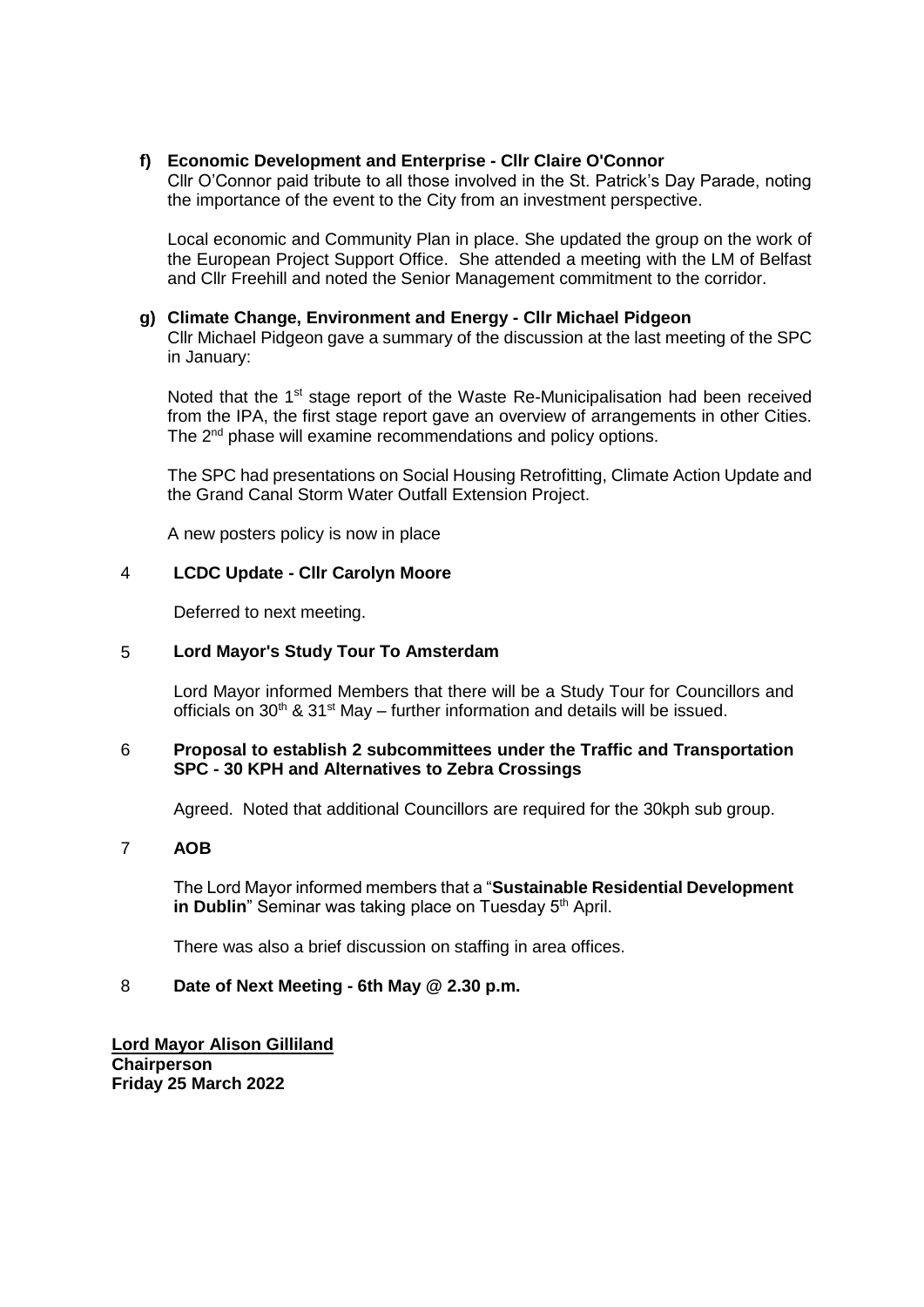# **f) Economic Development and Enterprise - Cllr Claire O'Connor**

Cllr O'Connor paid tribute to all those involved in the St. Patrick's Day Parade, noting the importance of the event to the City from an investment perspective.

Local economic and Community Plan in place. She updated the group on the work of the European Project Support Office. She attended a meeting with the LM of Belfast and Cllr Freehill and noted the Senior Management commitment to the corridor.

# **g) Climate Change, Environment and Energy - Cllr Michael Pidgeon**

Cllr Michael Pidgeon gave a summary of the discussion at the last meeting of the SPC in January:

Noted that the 1<sup>st</sup> stage report of the Waste Re-Municipalisation had been received from the IPA, the first stage report gave an overview of arrangements in other Cities. The 2<sup>nd</sup> phase will examine recommendations and policy options.

The SPC had presentations on Social Housing Retrofitting, Climate Action Update and the Grand Canal Storm Water Outfall Extension Project.

A new posters policy is now in place

### 4 **LCDC Update - Cllr Carolyn Moore**

Deferred to next meeting.

#### 5 **Lord Mayor's Study Tour To Amsterdam**

Lord Mayor informed Members that there will be a Study Tour for Councillors and officials on  $30<sup>th</sup>$  &  $31<sup>st</sup>$  May – further information and details will be issued.

### 6 **Proposal to establish 2 subcommittees under the Traffic and Transportation SPC - 30 KPH and Alternatives to Zebra Crossings**

Agreed. Noted that additional Councillors are required for the 30kph sub group.

# 7 **AOB**

The Lord Mayor informed members that a "**Sustainable Residential Development**  in Dublin<sup>"</sup> Seminar was taking place on Tuesday 5<sup>th</sup> April.

There was also a brief discussion on staffing in area offices.

### 8 **Date of Next Meeting - 6th May @ 2.30 p.m.**

**Lord Mayor Alison Gilliland Chairperson Friday 25 March 2022**